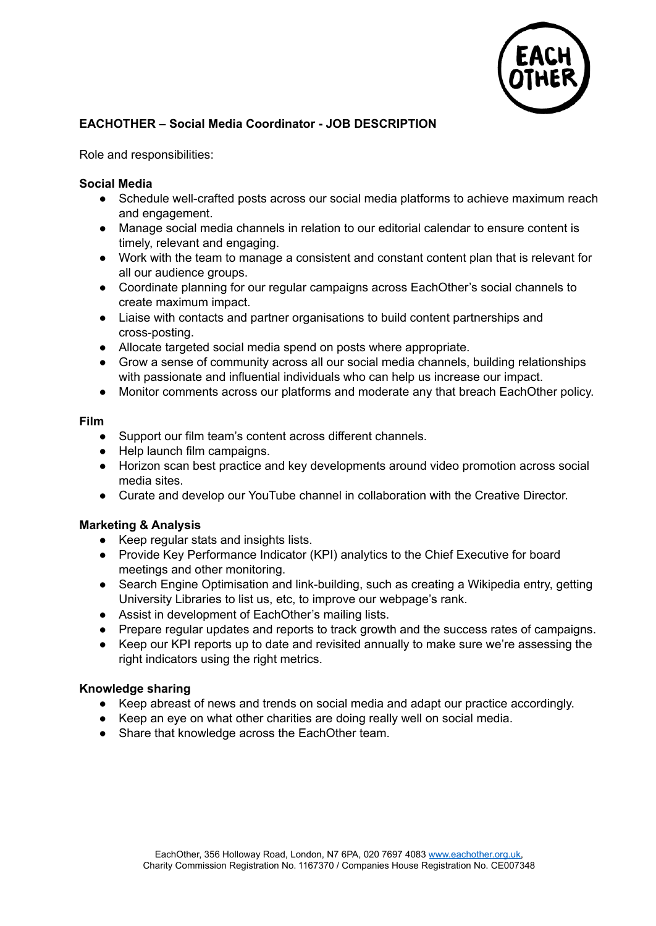

# **EACHOTHER – Social Media Coordinator - JOB DESCRIPTION**

Role and responsibilities:

### **Social Media**

- Schedule well-crafted posts across our social media platforms to achieve maximum reach and engagement.
- Manage social media channels in relation to our editorial calendar to ensure content is timely, relevant and engaging.
- Work with the team to manage a consistent and constant content plan that is relevant for all our audience groups.
- Coordinate planning for our regular campaigns across EachOther's social channels to create maximum impact.
- Liaise with contacts and partner organisations to build content partnerships and cross-posting.
- Allocate targeted social media spend on posts where appropriate.
- Grow a sense of community across all our social media channels, building relationships with passionate and influential individuals who can help us increase our impact.
- Monitor comments across our platforms and moderate any that breach EachOther policy.

#### **Film**

- Support our film team's content across different channels.
- Help launch film campaigns.
- Horizon scan best practice and key developments around video promotion across social media sites.
- Curate and develop our YouTube channel in collaboration with the Creative Director.

### **Marketing & Analysis**

- Keep regular stats and insights lists.
- Provide Key Performance Indicator (KPI) analytics to the Chief Executive for board meetings and other monitoring.
- Search Engine Optimisation and link-building, such as creating a Wikipedia entry, getting University Libraries to list us, etc, to improve our webpage's rank.
- Assist in development of EachOther's mailing lists.
- Prepare regular updates and reports to track growth and the success rates of campaigns.
- Keep our KPI reports up to date and revisited annually to make sure we're assessing the right indicators using the right metrics.

### **Knowledge sharing**

- Keep abreast of news and trends on social media and adapt our practice accordingly.
- Keep an eye on what other charities are doing really well on social media.
- Share that knowledge across the EachOther team.